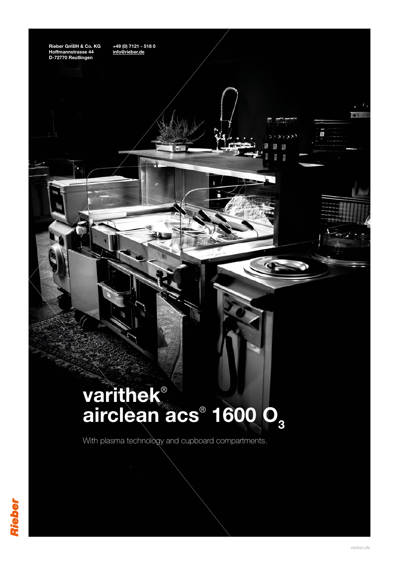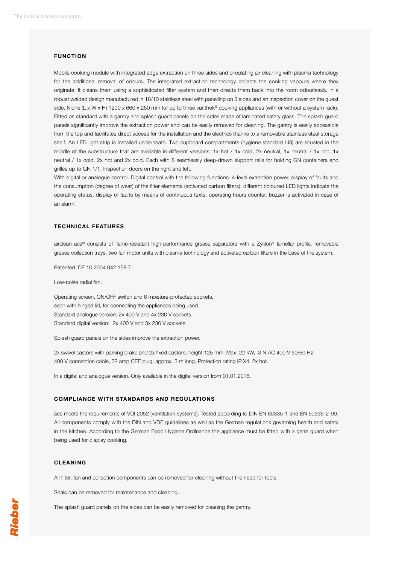## **FUNCTION**

Mobile cooking module with integrated edge extraction on three sides and circulating air cleaning with plasma technology for the additional removal of odours. The integrated extraction technology collects the cooking vapours where they originate. It cleans them using a sophisticated filter system and then directs them back into the room odourlessly. In a robust welded design manufactured in 18/10 stainless steel with panelling on 3 sides and an inspection cover on the guest side. Niche (L x W x H) 1200 x 660 x 250 mm for up to three varithek® cooking appliances (with or without a system rack). Fitted as standard with a gantry and splash guard panels on the sides made of laminated safety glass. The splash guard panels significantly improve the extraction power and can be easily removed for cleaning. The gantry is easily accessible from the top and facilitates direct access for the installation and the electrics thanks to a removable stainless steel storage shelf. An LED light strip is installed underneath. Two cupboard compartments (hygiene standard H3) are situated in the middle of the substructure that are available in different versions: 1x hot / 1x cold, 2x neutral, 1x neutral / 1x hot, 1x neutral / 1x cold, 2x hot and 2x cold. Each with 8 seamlessly deep-drawn support rails for holding GN containers and grilles up to GN 1/1. Inspection doors on the right and left.

With digital or analogue control. Digital control with the following functions: 4-level extraction power, display of faults and the consumption (degree of wear) of the filter elements (activated carbon filters), different coloured LED lights indicate the operating status, display of faults by means of continuous texts, operating hours counter, buzzer is activated in case of an alarm.

## **TECHNICAL FEATURES**

airclean acs® consists of flame-resistant high-performance grease separators with a Zyklon® lamellar profile, removable grease collection trays, two fan motor units with plasma technology and activated carbon filters in the base of the system.

Patented: DE 10 2004 042 158.7

Low-noise radial fan.

Operating screen, ON/OFF switch and 6 moisture-protected sockets, each with hinged lid, for connecting the appliances being used. Standard analogue version: 2x 400 V and 4x 230 V sockets. Standard digital version: 2x 400 V and 3x 230 V sockets.

Splash guard panels on the sides improve the extraction power.

2x swivel castors with parking brake and 2x fixed castors, height 125 mm. Max. 22 kW, 3 N AC 400 V 50/60 Hz. 400 V connection cable, 32 amp CEE plug, approx. 3 m long. Protection rating IP X4. 2x hot.

In a digital and analogue version. Only available in the digital version from 01.01.2018.

## **COMPLIANCE WITH STANDARDS AND REGULATIONS**

acs meets the requirements of VDI 2052 (ventilation systems). Tested according to DIN EN 60335-1 and EN 60335-2-99. All components comply with the DIN and VDE guidelines as well as the German regulations governing health and safety in the kitchen. According to the German Food Hygiene Ordinance the appliance must be fitted with a germ guard when being used for display cooking.

## **CLEANING**

All filter, fan and collection components can be removed for cleaning without the need for tools.

Seals can be removed for maintenance and cleaning.

The splash guard panels on the sides can be easily removed for cleaning the gantry.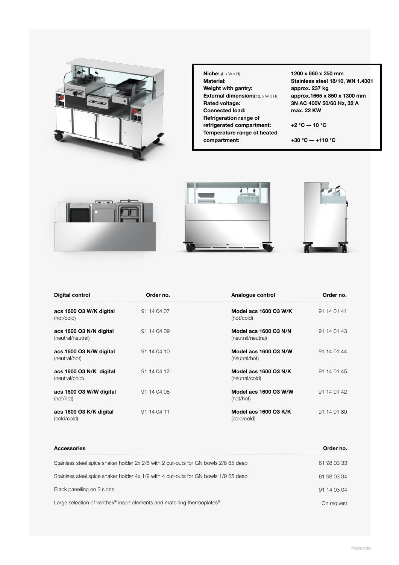

| Niche: $(L \times W \times H)$                      |
|-----------------------------------------------------|
| Material:                                           |
| Weight with gantry:                                 |
| <b>External dimensions:</b> $(L \times W \times H)$ |
| Rated voltage:                                      |
| Connected load:                                     |
| Refrigeration range of                              |
| refrigerated compartment:                           |
| Temperature range of heated                         |
| compartment:                                        |

**1200 x 660 x 250 mm Stainless steel 18/10, WN 1.4301 approx. 237 kg approx.1665 x 850 x 1300 mm 3N AC 400V 50/60 Hz, 32 A max. 22 KW**

**+2 °C –– 10 °C**

**+30 °C –– +110 °C**



| Digital control                              | Order no.   | Analogue control                           | Order no.   |
|----------------------------------------------|-------------|--------------------------------------------|-------------|
| acs 1600 O3 W/K digital<br>(hot/cold)        | 91 14 04 07 | Model acs 1600 O3 W/K<br>(hot/cold)        | 91 14 01 41 |
| acs 1600 O3 N/N digital<br>(neutral/neutral) | 91 14 04 09 | Model acs 1600 O3 N/N<br>(neutral/neutral) | 91 14 01 43 |
| acs 1600 O3 N/W digital<br>(neutral/hot)     | 91 14 04 10 | Model acs 1600 O3 N/W<br>(neutral/hot)     | 91 14 01 44 |
| acs 1600 O3 N/K digital<br>(neutral/cold)    | 91 14 04 12 | Model acs 1600 O3 N/K<br>(neutral/cold)    | 91 14 01 45 |
| acs 1600 O3 W/W digital<br>(hot/hot)         | 91 14 04 08 | Model acs 1600 O3 W/W<br>(hot/hot)         | 91 14 01 42 |
| acs 1600 O3 K/K digital<br>(cold/cold)       | 91 14 04 11 | Model acs 1600 O3 K/K<br>(cold/cold)       | 91 14 01 80 |

| <b>Accessories</b>                                                                              | Order no.   |
|-------------------------------------------------------------------------------------------------|-------------|
| Stainless steel spice shaker holder 2x 2/8 with 2 cut-outs for GN bowls 2/8 65 deep             | 61 98 03 33 |
| Stainless steel spice shaker holder 4x 1/9 with 4 cut-outs for GN bowls 1/9 65 deep             | 61 98 03 34 |
| Black panelling on 3 sides                                                                      | 91 14 03 04 |
| Large selection of varithek <sup>®</sup> insert elements and matching thermoplates <sup>®</sup> | On reauest  |